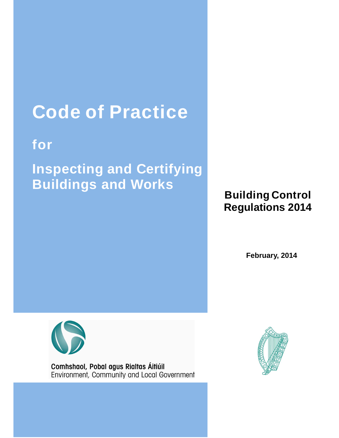# **Code of Practice**

## **for**

**Inspecting and Certifying Buildings and Works** 

## **Building Control Regulations 2014**

**February, 2014**



Comhshaol, Pobal agus Rialtas Áitiúil Environment, Community and Local Government

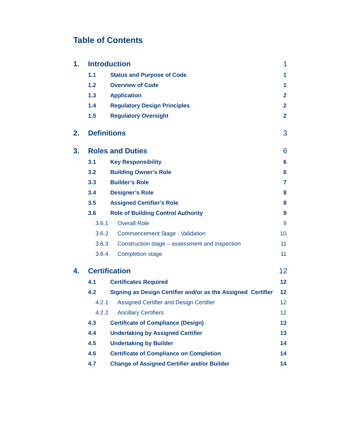## **Table of Contents**

| 1.           |                      | <b>Introduction</b>                                          | 1                 |  |  |  |
|--------------|----------------------|--------------------------------------------------------------|-------------------|--|--|--|
|              | 1.1                  | <b>Status and Purpose of Code</b>                            | 1                 |  |  |  |
|              | 1.2                  | <b>Overview of Code</b>                                      | 1                 |  |  |  |
|              | 1.3                  | <b>Application</b>                                           | $\mathbf{2}$      |  |  |  |
|              | 1.4                  | <b>Regulatory Design Principles</b>                          | $\mathbf{2}$      |  |  |  |
|              | 1.5                  | <b>Regulatory Oversight</b>                                  | $\mathbf{2}$      |  |  |  |
| 2.           | <b>Definitions</b>   |                                                              | 3                 |  |  |  |
| 3.           |                      | <b>Roles and Duties</b>                                      | 6                 |  |  |  |
|              | 3.1                  | <b>Key Responsibility</b>                                    | 6                 |  |  |  |
|              | 3.2                  | <b>Building Owner's Role</b>                                 | 6                 |  |  |  |
|              | 3.3                  | <b>Builder's Role</b>                                        | $\overline{7}$    |  |  |  |
|              | 3.4                  | <b>Designer's Role</b>                                       | 8                 |  |  |  |
|              | 3.5                  | <b>Assigned Certifier's Role</b>                             | 8                 |  |  |  |
|              | 3.6                  | <b>Role of Building Control Authority</b>                    | 9                 |  |  |  |
|              | 3.6.1                | <b>Overall Role</b>                                          | 9                 |  |  |  |
|              | 3.6.2                | <b>Commencement Stage - Validation</b>                       | 10                |  |  |  |
|              | 3.6.3                | Construction stage - assessment and inspection               | 11                |  |  |  |
|              | 3.6.4                | <b>Completion stage</b>                                      | 11                |  |  |  |
| 4.           | <b>Certification</b> |                                                              |                   |  |  |  |
|              | 4.1                  | <b>Certificates Required</b>                                 |                   |  |  |  |
|              | 4.2                  | Signing as Design Certifier and/or as the Assigned Certifier | $12 \ \mathsf{ }$ |  |  |  |
|              | 4.2.1                | <b>Assigned Certifier and Design Certifier</b>               | 12                |  |  |  |
| 4.2.2<br>4.3 |                      | <b>Ancillary Certifiers</b>                                  | 12                |  |  |  |
|              |                      | <b>Certificate of Compliance (Design)</b>                    |                   |  |  |  |
|              | 4.4                  | <b>Undertaking by Assigned Certifier</b>                     | 13                |  |  |  |
|              | 4.5                  | <b>Undertaking by Builder</b>                                |                   |  |  |  |
|              | 4.6                  | <b>Certificate of Compliance on Completion</b>               | 14                |  |  |  |
|              | 4.7                  | <b>Change of Assigned Certifier and/or Builder</b>           | 14                |  |  |  |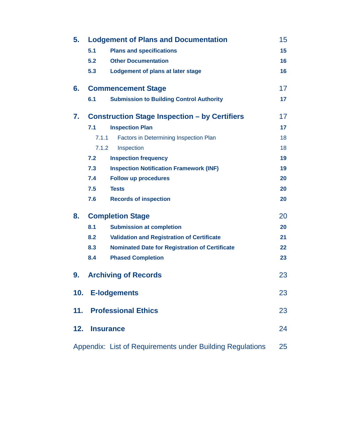| 5.  | <b>Lodgement of Plans and Documentation</b> |                                                           |    |
|-----|---------------------------------------------|-----------------------------------------------------------|----|
|     | 5.1                                         | <b>Plans and specifications</b>                           | 15 |
|     | 5.2                                         | <b>Other Documentation</b>                                | 16 |
|     | 5.3                                         | Lodgement of plans at later stage                         | 16 |
| 6.  |                                             | <b>Commencement Stage</b>                                 | 17 |
|     | 6.1                                         | <b>Submission to Building Control Authority</b>           | 17 |
| 7.  |                                             | <b>Construction Stage Inspection - by Certifiers</b>      | 17 |
|     | 7.1                                         | <b>Inspection Plan</b>                                    | 17 |
|     | 7.1.1                                       | Factors in Determining Inspection Plan                    | 18 |
|     | 7.1.2                                       | Inspection                                                | 18 |
|     | 7.2                                         | <b>Inspection frequency</b>                               | 19 |
|     | 7.3                                         | <b>Inspection Notification Framework (INF)</b>            | 19 |
|     | 7.4                                         | <b>Follow up procedures</b>                               | 20 |
|     | 7.5                                         | <b>Tests</b>                                              | 20 |
|     | 7.6                                         | <b>Records of inspection</b>                              | 20 |
| 8.  |                                             | <b>Completion Stage</b>                                   | 20 |
|     | 8.1                                         | <b>Submission at completion</b>                           | 20 |
|     | 8.2                                         | <b>Validation and Registration of Certificate</b>         | 21 |
|     | 8.3                                         | <b>Nominated Date for Registration of Certificate</b>     | 22 |
|     | 8.4                                         | <b>Phased Completion</b>                                  | 23 |
| 9.  |                                             | <b>Archiving of Records</b>                               | 23 |
|     |                                             | 10. E-lodgements                                          | 23 |
|     |                                             | 11. Professional Ethics                                   | 23 |
| 12. |                                             | <b>Insurance</b>                                          | 24 |
|     |                                             | Appendix: List of Requirements under Building Regulations | 25 |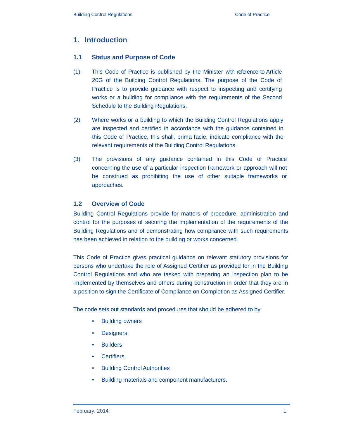## **1. Introduction**

#### **1.1 Status and Purpose of Code**

- (1) This Code of Practice is published by the Minister with reference to Article 20G of the Building Control Regulations. The purpose of the Code of Practice is to provide guidance with respect to inspecting and certifying works or a building for compliance with the requirements of the Second Schedule to the Building Regulations.
- (2) Where works or a building to which the Building Control Regulations apply are inspected and certified in accordance with the guidance contained in this Code of Practice, this shall, prima facie, indicate compliance with the relevant requirements of the Building Control Regulations.
- (3) The provisions of any guidance contained in this Code of Practice concerning the use of a particular inspection framework or approach will not be construed as prohibiting the use of other suitable frameworks or approaches.

## **1.2 Overview of Code**

Building Control Regulations provide for matters of procedure, administration and control for the purposes of securing the implementation of the requirements of the Building Regulations and of demonstrating how compliance with such requirements has been achieved in relation to the building or works concerned.

This Code of Practice gives practical guidance on relevant statutory provisions for persons who undertake the role of Assigned Certifier as provided for in the Building Control Regulations and who are tasked with preparing an inspection plan to be implemented by themselves and others during construction in order that they are in a position to sign the Certificate of Compliance on Completion as Assigned Certifier.

The code sets out standards and procedures that should be adhered to by:

- **Building owners**
- **Designers**
- **Builders**
- **Certifiers**
- **Building Control Authorities**
- Building materials and component manufacturers.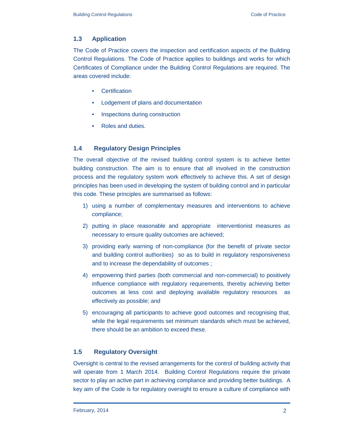## **1.3 Application**

The Code of Practice covers the inspection and certification aspects of the Building Control Regulations. The Code of Practice applies to buildings and works for which Certificates of Compliance under the Building Control Regulations are required. The areas covered include:

- Certification
- Lodgement of plans and documentation
- Inspections during construction
- Roles and duties.

## **1.4 Regulatory Design Principles**

The overall objective of the revised building control system is to achieve better building construction. The aim is to ensure that all involved in the construction process and the regulatory system work effectively to achieve this. A set of design principles has been used in developing the system of building control and in particular this code. These principles are summarised as follows:

- 1) using a number of complementary measures and interventions to achieve compliance;
- 2) putting in place reasonable and appropriate interventionist measures as necessary to ensure quality outcomes are achieved;
- 3) providing early warning of non-compliance (for the benefit of private sector and building control authorities) so as to build in regulatory responsiveness and to increase the dependability of outcomes ;
- 4) empowering third parties (both commercial and non-commercial) to positively influence compliance with regulatory requirements, thereby achieving better outcomes at less cost and deploying available regulatory resources as effectively as possible; and
- 5) encouraging all participants to achieve good outcomes and recognising that, while the legal requirements set minimum standards which must be achieved, there should be an ambition to exceed these.

## **1.5 Regulatory Oversight**

Oversight is central to the revised arrangements for the control of building activity that will operate from 1 March 2014. Building Control Regulations require the private sector to play an active part in achieving compliance and providing better buildings. A key aim of the Code is for regulatory oversight to ensure a culture of compliance with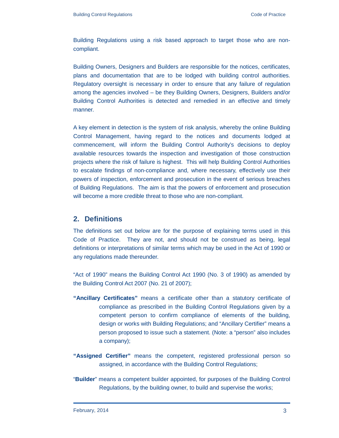Building Regulations using a risk based approach to target those who are noncompliant.

Building Owners, Designers and Builders are responsible for the notices, certificates, plans and documentation that are to be lodged with building control authorities. Regulatory oversight is necessary in order to ensure that any failure of regulation among the agencies involved – be they Building Owners, Designers, Builders and/or Building Control Authorities is detected and remedied in an effective and timely manner.

A key element in detection is the system of risk analysis, whereby the online Building Control Management, having regard to the notices and documents lodged at commencement, will inform the Building Control Authority's decisions to deploy available resources towards the inspection and investigation of those construction projects where the risk of failure is highest. This will help Building Control Authorities to escalate findings of non-compliance and, where necessary, effectively use their powers of inspection, enforcement and prosecution in the event of serious breaches of Building Regulations. The aim is that the powers of enforcement and prosecution will become a more credible threat to those who are non-compliant.

## **2. Definitions**

The definitions set out below are for the purpose of explaining terms used in this Code of Practice. They are not, and should not be construed as being, legal definitions or interpretations of similar terms which may be used in the Act of 1990 or any regulations made thereunder.

"Act of 1990" means the Building Control Act 1990 (No. 3 of 1990) as amended by the Building Control Act 2007 (No. 21 of 2007);

- **"Ancillary Certificates"** means a certificate other than a statutory certificate of compliance as prescribed in the Building Control Regulations given by a competent person to confirm compliance of elements of the building, design or works with Building Regulations; and "Ancillary Certifier" means a person proposed to issue such a statement. (Note: a "person" also includes a company);
- **"Assigned Certifier"** means the competent, registered professional person so assigned, in accordance with the Building Control Regulations;
- "**Builder**" means a competent builder appointed, for purposes of the Building Control Regulations, by the building owner, to build and supervise the works;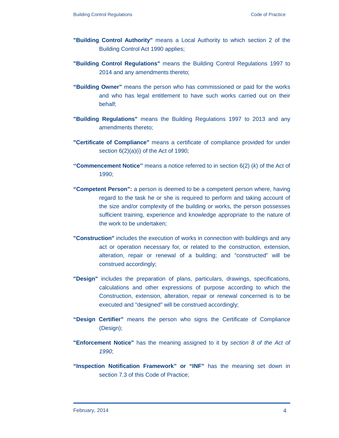- **"Building Control Authority"** means a Local Authority to which section 2 of the Building Control Act 1990 applies;
- **"Building Control Regulations"** means the Building Control Regulations 1997 to 2014 and any amendments thereto;
- **"Building Owner"** means the person who has commissioned or paid for the works and who has legal entitlement to have such works carried out on their behalf;
- **"Building Regulations"** means the Building Regulations 1997 to 2013 and any amendments thereto;
- **"Certificate of Compliance"** means a certificate of compliance provided for under section  $6(2)(a)(i)$  of the Act of 1990;
- **''Commencement Notice''** means a notice referred to in section 6(2) (k) of the Act of 1990;
- **"Competent Person":** a person is deemed to be a competent person where, having regard to the task he or she is required to perform and taking account of the size and/or complexity of the building or works, the person possesses sufficient training, experience and knowledge appropriate to the nature of the work to be undertaken;
- **"Construction"** includes the execution of works in connection with buildings and any act or operation necessary for, or related to the construction, extension, alteration, repair or renewal of a building; and "constructed" will be construed accordingly;
- **"Design"** includes the preparation of plans, particulars, drawings, specifications, calculations and other expressions of purpose according to which the Construction, extension, alteration, repair or renewal concerned is to be executed and "designed" will be construed accordingly;
- **"Design Certifier"** means the person who signs the Certificate of Compliance (Design);
- **"Enforcement Notice"** has the meaning assigned to it by section 8 of the Act of 1990;
- **"Inspection Notification Framework" or "INF"** has the meaning set down in section 7.3 of this Code of Practice;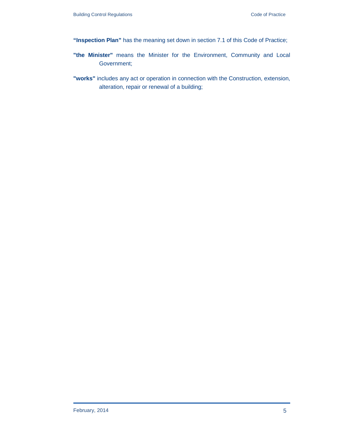- **"Inspection Plan"** has the meaning set down in section 7.1 of this Code of Practice;
- **"the Minister"** means the Minister for the Environment, Community and Local Government;
- **"works"** includes any act or operation in connection with the Construction, extension, alteration, repair or renewal of a building;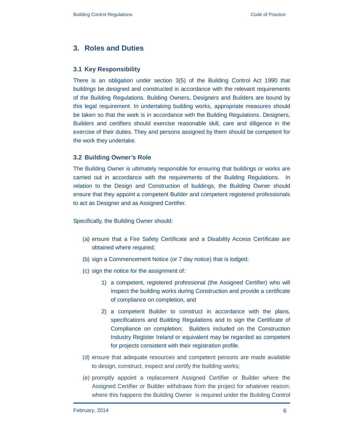## **3. Roles and Duties**

#### **3.1 Key Responsibility**

There is an obligation under section 3(5) of the Building Control Act 1990 that buildings be designed and constructed in accordance with the relevant requirements of the Building Regulations. Building Owners, Designers and Builders are bound by this legal requirement. In undertaking building works, appropriate measures should be taken so that the work is in accordance with the Building Regulations. Designers, Builders and certifiers should exercise reasonable skill, care and diligence in the exercise of their duties. They and persons assigned by them should be competent for the work they undertake.

#### **3.2 Building Owner's Role**

The Building Owner is ultimately responsible for ensuring that buildings or works are carried out in accordance with the requirements of the Building Regulations. In relation to the Design and Construction of buildings, the Building Owner should ensure that they appoint a competent Builder and competent registered professionals to act as Designer and as Assigned Certifier.

Specifically, the Building Owner should:

- (a) ensure that a Fire Safety Certificate and a Disability Access Certificate are obtained where required;
- (b) sign a Commencement Notice (or 7 day notice) that is lodged;
- (c) sign the notice for the assignment of:
	- 1) a competent, registered professional (the Assigned Certifier) who will inspect the building works during Construction and provide a certificate of compliance on completion, and
	- 2) a competent Builder to construct in accordance with the plans, specifications and Building Regulations and to sign the Certificate of Compliance on completion; Builders included on the Construction Industry Register Ireland or equivalent may be regarded as competent for projects consistent with their registration profile.
- (d) ensure that adequate resources and competent persons are made available to design, construct, inspect and certify the building works;
- (e) promptly appoint a replacement Assigned Certifier or Builder where the Assigned Certifier or Builder withdraws from the project for whatever reason; where this happens the Building Owner is required under the Building Control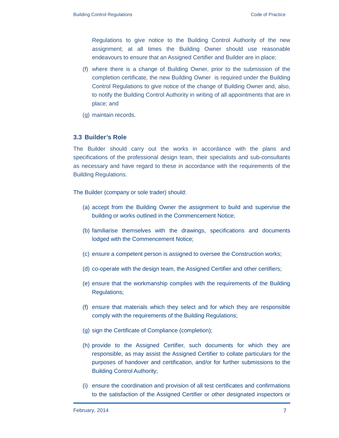Regulations to give notice to the Building Control Authority of the new assignment; at all times the Building Owner should use reasonable endeavours to ensure that an Assigned Certifier and Builder are in place;

- (f) where there is a change of Building Owner, prior to the submission of the completion certificate, the new Building Owner is required under the Building Control Regulations to give notice of the change of Building Owner and, also, to notify the Building Control Authority in writing of all appointments that are in place; and
- (g) maintain records.

#### **3.3 Builder's Role**

The Builder should carry out the works in accordance with the plans and specifications of the professional design team, their specialists and sub-consultants as necessary and have regard to these in accordance with the requirements of the Building Regulations.

The Builder (company or sole trader) should:

- (a) accept from the Building Owner the assignment to build and supervise the building or works outlined in the Commencement Notice;
- (b) familiarise themselves with the drawings, specifications and documents lodged with the Commencement Notice;
- (c) ensure a competent person is assigned to oversee the Construction works;
- (d) co-operate with the design team, the Assigned Certifier and other certifiers;
- (e) ensure that the workmanship complies with the requirements of the Building Regulations;
- (f) ensure that materials which they select and for which they are responsible comply with the requirements of the Building Regulations;
- (g) sign the Certificate of Compliance (completion);
- (h) provide to the Assigned Certifier, such documents for which they are responsible, as may assist the Assigned Certifier to collate particulars for the purposes of handover and certification, and/or for further submissions to the Building Control Authority;
- (i) ensure the coordination and provision of all test certificates and confirmations to the satisfaction of the Assigned Certifier or other designated inspectors or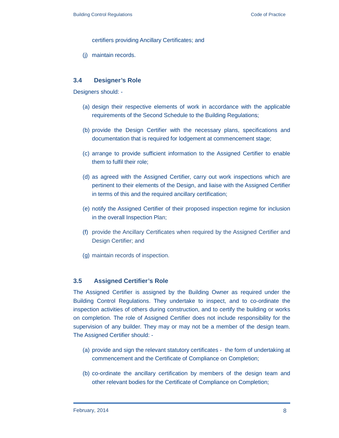certifiers providing Ancillary Certificates; and

(j) maintain records.

#### **3.4 Designer's Role**

Designers should: -

- (a) design their respective elements of work in accordance with the applicable requirements of the Second Schedule to the Building Regulations;
- (b) provide the Design Certifier with the necessary plans, specifications and documentation that is required for lodgement at commencement stage;
- (c) arrange to provide sufficient information to the Assigned Certifier to enable them to fulfil their role;
- (d) as agreed with the Assigned Certifier, carry out work inspections which are pertinent to their elements of the Design, and liaise with the Assigned Certifier in terms of this and the required ancillary certification;
- (e) notify the Assigned Certifier of their proposed inspection regime for inclusion in the overall Inspection Plan;
- (f) provide the Ancillary Certificates when required by the Assigned Certifier and Design Certifier; and
- (g) maintain records of inspection.

#### **3.5 Assigned Certifier's Role**

The Assigned Certifier is assigned by the Building Owner as required under the Building Control Regulations. They undertake to inspect, and to co-ordinate the inspection activities of others during construction, and to certify the building or works on completion. The role of Assigned Certifier does not include responsibility for the supervision of any builder. They may or may not be a member of the design team. The Assigned Certifier should: -

- (a) provide and sign the relevant statutory certificates the form of undertaking at commencement and the Certificate of Compliance on Completion;
- (b) co-ordinate the ancillary certification by members of the design team and other relevant bodies for the Certificate of Compliance on Completion;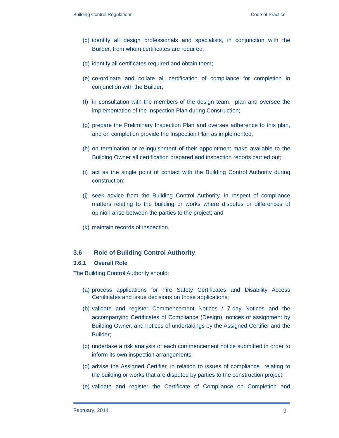- (c) identify all design professionals and specialists, in conjunction with the Builder, from whom certificates are required;
- (d) identify all certificates required and obtain them;
- (e) co-ordinate and collate all certification of compliance for completion in conjunction with the Builder;
- (f) in consultation with the members of the design team, plan and oversee the implementation of the Inspection Plan during Construction;
- (g) prepare the Preliminary Inspection Plan and oversee adherence to this plan, and on completion provide the Inspection Plan as implemented;
- (h) on termination or relinquishment of their appointment make available to the Building Owner all certification prepared and inspection reports carried out;
- (i) act as the single point of contact with the Building Control Authority during construction;
- (j) seek advice from the Building Control Authority, in respect of compliance matters relating to the building or works where disputes or differences of opinion arise between the parties to the project; and
- (k) maintain records of inspection.

#### **3.6 Role of Building Control Authority**

#### **3.6.1 Overall Role**

The Building Control Authority should:

- (a) process applications for Fire Safety Certificates and Disability Access Certificates and issue decisions on those applications;
- (b) validate and register Commencement Notices / 7-day Notices and the accompanying Certificates of Compliance (Design), notices of assignment by Building Owner, and notices of undertakings by the Assigned Certifier and the Builder;
- (c) undertake a risk analysis of each commencement notice submitted in order to inform its own inspection arrangements;
- (d) advise the Assigned Certifier, in relation to issues of compliance relating to the building or works that are disputed by parties to the construction project;
- (e) validate and register the Certificate of Compliance on Completion and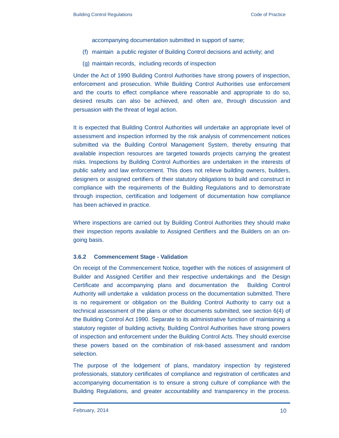accompanying documentation submitted in support of same;

- (f) maintain a public register of Building Control decisions and activity; and
- (g) maintain records, including records of inspection

Under the Act of 1990 Building Control Authorities have strong powers of inspection, enforcement and prosecution. While Building Control Authorities use enforcement and the courts to effect compliance where reasonable and appropriate to do so, desired results can also be achieved, and often are, through discussion and persuasion with the threat of legal action.

It is expected that Building Control Authorities will undertake an appropriate level of assessment and inspection informed by the risk analysis of commencement notices submitted via the Building Control Management System, thereby ensuring that available inspection resources are targeted towards projects carrying the greatest risks. Inspections by Building Control Authorities are undertaken in the interests of public safety and law enforcement. This does not relieve building owners, builders, designers or assigned certifiers of their statutory obligations to build and construct in compliance with the requirements of the Building Regulations and to demonstrate through inspection, certification and lodgement of documentation how compliance has been achieved in practice.

Where inspections are carried out by Building Control Authorities they should make their inspection reports available to Assigned Certifiers and the Builders on an ongoing basis.

#### **3.6.2 Commencement Stage - Validation**

On receipt of the Commencement Notice, together with the notices of assignment of Builder and Assigned Certifier and their respective undertakings and the Design Certificate and accompanying plans and documentation the Building Control Authority will undertake a validation process on the documentation submitted. There is no requirement or obligation on the Building Control Authority to carry out a technical assessment of the plans or other documents submitted, see section 6(4) of the Building Control Act 1990. Separate to its administrative function of maintaining a statutory register of building activity, Building Control Authorities have strong powers of inspection and enforcement under the Building Control Acts. They should exercise these powers based on the combination of risk-based assessment and random selection.

The purpose of the lodgement of plans, mandatory inspection by registered professionals, statutory certificates of compliance and registration of certificates and accompanying documentation is to ensure a strong culture of compliance with the Building Regulations, and greater accountability and transparency in the process.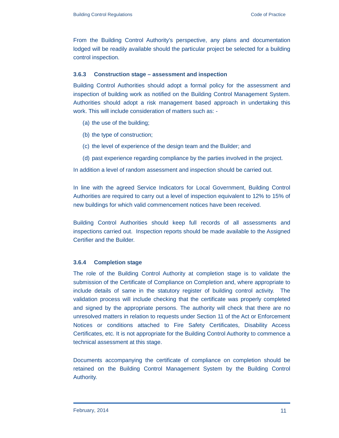From the Building Control Authority's perspective, any plans and documentation lodged will be readily available should the particular project be selected for a building control inspection.

#### **3.6.3 Construction stage – assessment and inspection**

Building Control Authorities should adopt a formal policy for the assessment and inspection of building work as notified on the Building Control Management System. Authorities should adopt a risk management based approach in undertaking this work. This will include consideration of matters such as: -

- (a) the use of the building;
- (b) the type of construction;
- (c) the level of experience of the design team and the Builder; and
- (d) past experience regarding compliance by the parties involved in the project.

In addition a level of random assessment and inspection should be carried out.

In line with the agreed Service Indicators for Local Government, Building Control Authorities are required to carry out a level of inspection equivalent to 12% to 15% of new buildings for which valid commencement notices have been received.

Building Control Authorities should keep full records of all assessments and inspections carried out. Inspection reports should be made available to the Assigned Certifier and the Builder.

#### **3.6.4 Completion stage**

The role of the Building Control Authority at completion stage is to validate the submission of the Certificate of Compliance on Completion and, where appropriate to include details of same in the statutory register of building control activity. The validation process will include checking that the certificate was properly completed and signed by the appropriate persons. The authority will check that there are no unresolved matters in relation to requests under Section 11 of the Act or Enforcement Notices or conditions attached to Fire Safety Certificates, Disability Access Certificates, etc. It is not appropriate for the Building Control Authority to commence a technical assessment at this stage.

Documents accompanying the certificate of compliance on completion should be retained on the Building Control Management System by the Building Control Authority.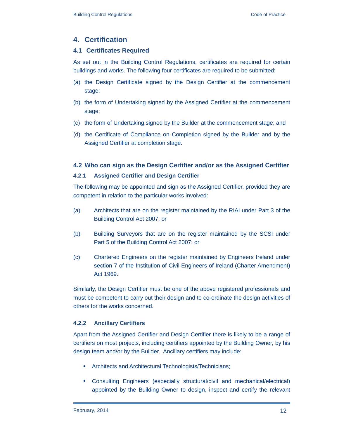#### **4. Certification**

#### **4.1 Certificates Required**

As set out in the Building Control Regulations, certificates are required for certain buildings and works. The following four certificates are required to be submitted:

- (a) the Design Certificate signed by the Design Certifier at the commencement stage;
- (b) the form of Undertaking signed by the Assigned Certifier at the commencement stage;
- (c) the form of Undertaking signed by the Builder at the commencement stage; and
- (d) the Certificate of Compliance on Completion signed by the Builder and by the Assigned Certifier at completion stage.

## **4.2 Who can sign as the Design Certifier and/or as the Assigned Certifier**

#### **4.2.1 Assigned Certifier and Design Certifier**

The following may be appointed and sign as the Assigned Certifier, provided they are competent in relation to the particular works involved:

- (a) Architects that are on the register maintained by the RIAI under Part 3 of the Building Control Act 2007; or
- (b) Building Surveyors that are on the register maintained by the SCSI under Part 5 of the Building Control Act 2007; or
- (c) Chartered Engineers on the register maintained by Engineers Ireland under section 7 of the Institution of Civil Engineers of Ireland (Charter Amendment) Act 1969.

Similarly, the Design Certifier must be one of the above registered professionals and must be competent to carry out their design and to co-ordinate the design activities of others for the works concerned.

#### **4.2.2 Ancillary Certifiers**

Apart from the Assigned Certifier and Design Certifier there is likely to be a range of certifiers on most projects, including certifiers appointed by the Building Owner, by his design team and/or by the Builder. Ancillary certifiers may include:

- Architects and Architectural Technologists/Technicians;
- Consulting Engineers (especially structural/civil and mechanical/electrical) appointed by the Building Owner to design, inspect and certify the relevant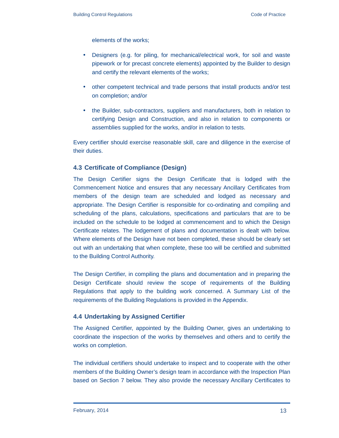elements of the works;

- Designers (e.g. for piling, for mechanical/electrical work, for soil and waste pipework or for precast concrete elements) appointed by the Builder to design and certify the relevant elements of the works;
- other competent technical and trade persons that install products and/or test on completion; and/or
- the Builder, sub-contractors, suppliers and manufacturers, both in relation to certifying Design and Construction, and also in relation to components or assemblies supplied for the works, and/or in relation to tests.

Every certifier should exercise reasonable skill, care and diligence in the exercise of their duties.

#### **4.3 Certificate of Compliance (Design)**

The Design Certifier signs the Design Certificate that is lodged with the Commencement Notice and ensures that any necessary Ancillary Certificates from members of the design team are scheduled and lodged as necessary and appropriate. The Design Certifier is responsible for co-ordinating and compiling and scheduling of the plans, calculations, specifications and particulars that are to be included on the schedule to be lodged at commencement and to which the Design Certificate relates. The lodgement of plans and documentation is dealt with below. Where elements of the Design have not been completed, these should be clearly set out with an undertaking that when complete, these too will be certified and submitted to the Building Control Authority.

The Design Certifier, in compiling the plans and documentation and in preparing the Design Certificate should review the scope of requirements of the Building Regulations that apply to the building work concerned. A Summary List of the requirements of the Building Regulations is provided in the Appendix.

#### **4.4 Undertaking by Assigned Certifier**

The Assigned Certifier, appointed by the Building Owner, gives an undertaking to coordinate the inspection of the works by themselves and others and to certify the works on completion.

The individual certifiers should undertake to inspect and to cooperate with the other members of the Building Owner's design team in accordance with the Inspection Plan based on Section 7 below. They also provide the necessary Ancillary Certificates to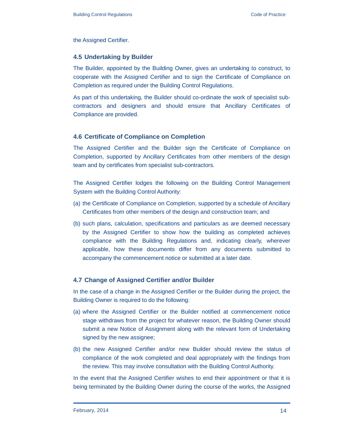the Assigned Certifier.

#### **4.5 Undertaking by Builder**

The Builder, appointed by the Building Owner, gives an undertaking to construct, to cooperate with the Assigned Certifier and to sign the Certificate of Compliance on Completion as required under the Building Control Regulations.

As part of this undertaking, the Builder should co-ordinate the work of specialist subcontractors and designers and should ensure that Ancillary Certificates of Compliance are provided.

#### **4.6 Certificate of Compliance on Completion**

The Assigned Certifier and the Builder sign the Certificate of Compliance on Completion, supported by Ancillary Certificates from other members of the design team and by certificates from specialist sub-contractors.

The Assigned Certifier lodges the following on the Building Control Management System with the Building Control Authority:

- (a) the Certificate of Compliance on Completion, supported by a schedule of Ancillary Certificates from other members of the design and construction team; and
- (b) such plans, calculation, specifications and particulars as are deemed necessary by the Assigned Certifier to show how the building as completed achieves compliance with the Building Regulations and, indicating clearly, wherever applicable, how these documents differ from any documents submitted to accompany the commencement notice or submitted at a later date.

#### **4.7 Change of Assigned Certifier and/or Builder**

In the case of a change in the Assigned Certifier or the Builder during the project, the Building Owner is required to do the following:

- (a) where the Assigned Certifier or the Builder notified at commencement notice stage withdraws from the project for whatever reason, the Building Owner should submit a new Notice of Assignment along with the relevant form of Undertaking signed by the new assignee;
- (b) the new Assigned Certifier and/or new Builder should review the status of compliance of the work completed and deal appropriately with the findings from the review. This may involve consultation with the Building Control Authority.

In the event that the Assigned Certifier wishes to end their appointment or that it is being terminated by the Building Owner during the course of the works, the Assigned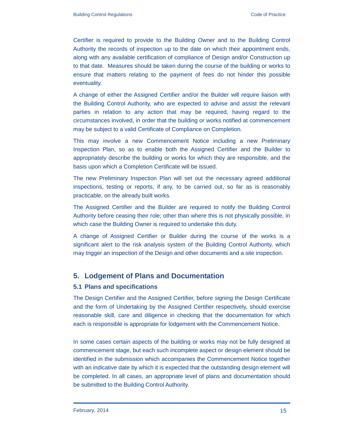Certifier is required to provide to the Building Owner and to the Building Control Authority the records of inspection up to the date on which their appointment ends, along with any available certification of compliance of Design and/or Construction up to that date. Measures should be taken during the course of the building or works to ensure that matters relating to the payment of fees do not hinder this possible eventuality.

A change of either the Assigned Certifier and/or the Builder will require liaison with the Building Control Authority, who are expected to advise and assist the relevant parties in relation to any action that may be required, having regard to the circumstances involved, in order that the building or works notified at commencement may be subject to a valid Certificate of Compliance on Completion.

This may involve a new Commencement Notice including a new Preliminary Inspection Plan, so as to enable both the Assigned Certifier and the Builder to appropriately describe the building or works for which they are responsible, and the basis upon which a Completion Certificate will be issued.

The new Preliminary Inspection Plan will set out the necessary agreed additional inspections, testing or reports, if any, to be carried out, so far as is reasonably practicable, on the already built works.

The Assigned Certifier and the Builder are required to notify the Building Control Authority before ceasing their role; other than where this is not physically possible, in which case the Building Owner is required to undertake this duty.

A change of Assigned Certifier or Builder during the course of the works is a significant alert to the risk analysis system of the Building Control Authority, which may trigger an inspection of the Design and other documents and a site inspection.

## **5. Lodgement of Plans and Documentation**

#### **5.1 Plans and specifications**

The Design Certifier and the Assigned Certifier, before signing the Design Certificate and the form of Undertaking by the Assigned Certifier respectively, should exercise reasonable skill, care and diligence in checking that the documentation for which each is responsible is appropriate for lodgement with the Commencement Notice.

In some cases certain aspects of the building or works may not be fully designed at commencement stage, but each such incomplete aspect or design element should be identified in the submission which accompanies the Commencement Notice together with an indicative date by which it is expected that the outstanding design element will be completed. In all cases, an appropriate level of plans and documentation should be submitted to the Building Control Authority.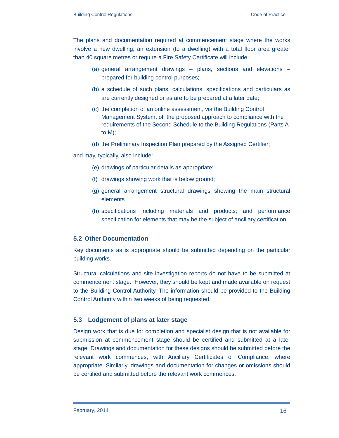The plans and documentation required at commencement stage where the works involve a new dwelling, an extension (to a dwelling) with a total floor area greater than 40 square metres or require a Fire Safety Certificate will include:

- (a) general arrangement drawings plans, sections and elevations prepared for building control purposes;
- (b) a schedule of such plans, calculations, specifications and particulars as are currently designed or as are to be prepared at a later date;
- (c) the completion of an online assessment, via the Building Control Management System, of the proposed approach to compliance with the requirements of the Second Schedule to the Building Regulations (Parts A to M);
- (d) the Preliminary Inspection Plan prepared by the Assigned Certifier;

and may, typically, also include:

- (e) drawings of particular details as appropriate;
- (f) drawings showing work that is below ground;
- (g) general arrangement structural drawings showing the main structural elements
- (h) specifications including materials and products; and performance specification for elements that may be the subject of ancillary certification.

#### **5.2 Other Documentation**

Key documents as is appropriate should be submitted depending on the particular building works.

Structural calculations and site investigation reports do not have to be submitted at commencement stage. However, they should be kept and made available on request to the Building Control Authority. The information should be provided to the Building Control Authority within two weeks of being requested.

## **5.3 Lodgement of plans at later stage**

Design work that is due for completion and specialist design that is not available for submission at commencement stage should be certified and submitted at a later stage. Drawings and documentation for these designs should be submitted before the relevant work commences, with Ancillary Certificates of Compliance, where appropriate. Similarly, drawings and documentation for changes or omissions should be certified and submitted before the relevant work commences.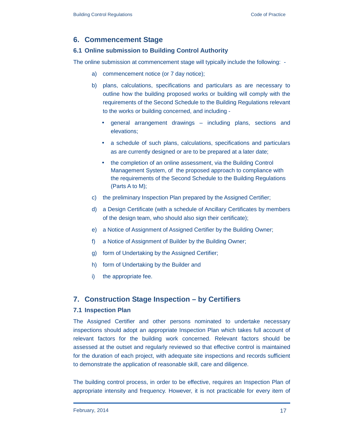## **6. Commencement Stage**

#### **6.1 Online submission to Building Control Authority**

The online submission at commencement stage will typically include the following: -

- a) commencement notice (or 7 day notice);
- b) plans, calculations, specifications and particulars as are necessary to outline how the building proposed works or building will comply with the requirements of the Second Schedule to the Building Regulations relevant to the works or building concerned, and including -
	- general arrangement drawings including plans, sections and elevations;
	- a schedule of such plans, calculations, specifications and particulars as are currently designed or are to be prepared at a later date;
	- the completion of an online assessment, via the Building Control Management System, of the proposed approach to compliance with the requirements of the Second Schedule to the Building Regulations (Parts A to M);
- c) the preliminary Inspection Plan prepared by the Assigned Certifier;
- d) a Design Certificate (with a schedule of Ancillary Certificates by members of the design team, who should also sign their certificate);
- e) a Notice of Assignment of Assigned Certifier by the Building Owner;
- f) a Notice of Assignment of Builder by the Building Owner;
- g) form of Undertaking by the Assigned Certifier;
- h) form of Undertaking by the Builder and
- i) the appropriate fee.

## **7. Construction Stage Inspection – by Certifiers**

#### **7.1 Inspection Plan**

The Assigned Certifier and other persons nominated to undertake necessary inspections should adopt an appropriate Inspection Plan which takes full account of relevant factors for the building work concerned. Relevant factors should be assessed at the outset and regularly reviewed so that effective control is maintained for the duration of each project, with adequate site inspections and records sufficient to demonstrate the application of reasonable skill, care and diligence.

The building control process, in order to be effective, requires an Inspection Plan of appropriate intensity and frequency. However, it is not practicable for every item of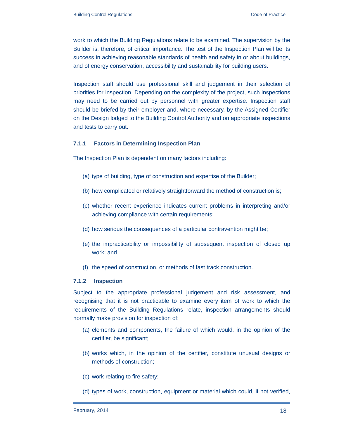work to which the Building Regulations relate to be examined. The supervision by the Builder is, therefore, of critical importance. The test of the Inspection Plan will be its success in achieving reasonable standards of health and safety in or about buildings, and of energy conservation, accessibility and sustainability for building users.

Inspection staff should use professional skill and judgement in their selection of priorities for inspection. Depending on the complexity of the project, such inspections may need to be carried out by personnel with greater expertise. Inspection staff should be briefed by their employer and, where necessary, by the Assigned Certifier on the Design lodged to the Building Control Authority and on appropriate inspections and tests to carry out.

#### **7.1.1 Factors in Determining Inspection Plan**

The Inspection Plan is dependent on many factors including:

- (a) type of building, type of construction and expertise of the Builder;
- (b) how complicated or relatively straightforward the method of construction is;
- (c) whether recent experience indicates current problems in interpreting and/or achieving compliance with certain requirements;
- (d) how serious the consequences of a particular contravention might be;
- (e) the impracticability or impossibility of subsequent inspection of closed up work; and
- (f) the speed of construction, or methods of fast track construction.

#### **7.1.2 Inspection**

Subject to the appropriate professional judgement and risk assessment, and recognising that it is not practicable to examine every item of work to which the requirements of the Building Regulations relate, inspection arrangements should normally make provision for inspection of:

- (a) elements and components, the failure of which would, in the opinion of the certifier, be significant;
- (b) works which, in the opinion of the certifier, constitute unusual designs or methods of construction;
- (c) work relating to fire safety;
- (d) types of work, construction, equipment or material which could, if not verified,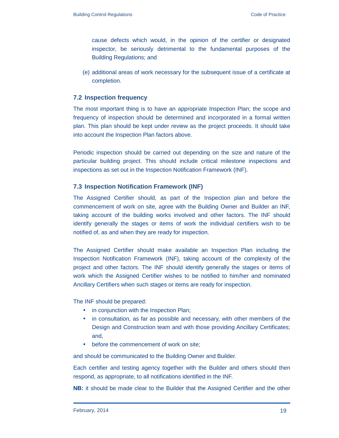cause defects which would, in the opinion of the certifier or designated inspector, be seriously detrimental to the fundamental purposes of the Building Regulations; and

(e) additional areas of work necessary for the subsequent issue of a certificate at completion.

#### **7.2 Inspection frequency**

The most important thing is to have an appropriate Inspection Plan; the scope and frequency of inspection should be determined and incorporated in a formal written plan. This plan should be kept under review as the project proceeds. It should take into account the Inspection Plan factors above.

Periodic inspection should be carried out depending on the size and nature of the particular building project. This should include critical milestone inspections and inspections as set out in the Inspection Notification Framework (INF).

#### **7.3 Inspection Notification Framework (INF)**

The Assigned Certifier should, as part of the Inspection plan and before the commencement of work on site, agree with the Building Owner and Builder an INF, taking account of the building works involved and other factors. The INF should identify generally the stages or items of work the individual certifiers wish to be notified of, as and when they are ready for inspection.

The Assigned Certifier should make available an Inspection Plan including the Inspection Notification Framework (INF), taking account of the complexity of the project and other factors. The INF should identify generally the stages or items of work which the Assigned Certifier wishes to be notified to him/her and nominated Ancillary Certifiers when such stages or items are ready for inspection.

The INF should be prepared:

- in conjunction with the Inspection Plan;
- in consultation, as far as possible and necessary, with other members of the Design and Construction team and with those providing Ancillary Certificates; and,
- before the commencement of work on site;

and should be communicated to the Building Owner and Builder.

Each certifier and testing agency together with the Builder and others should then respond, as appropriate, to all notifications identified in the INF.

**NB:** it should be made clear to the Builder that the Assigned Certifier and the other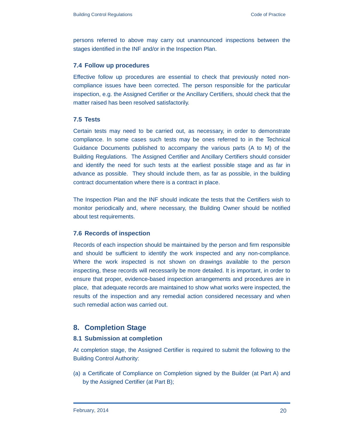persons referred to above may carry out unannounced inspections between the stages identified in the INF and/or in the Inspection Plan.

#### **7.4 Follow up procedures**

Effective follow up procedures are essential to check that previously noted noncompliance issues have been corrected. The person responsible for the particular inspection, e.g. the Assigned Certifier or the Ancillary Certifiers, should check that the matter raised has been resolved satisfactorily.

#### **7.5 Tests**

Certain tests may need to be carried out, as necessary, in order to demonstrate compliance. In some cases such tests may be ones referred to in the Technical Guidance Documents published to accompany the various parts (A to M) of the Building Regulations. The Assigned Certifier and Ancillary Certifiers should consider and identify the need for such tests at the earliest possible stage and as far in advance as possible. They should include them, as far as possible, in the building contract documentation where there is a contract in place.

The Inspection Plan and the INF should indicate the tests that the Certifiers wish to monitor periodically and, where necessary, the Building Owner should be notified about test requirements.

#### **7.6 Records of inspection**

Records of each inspection should be maintained by the person and firm responsible and should be sufficient to identify the work inspected and any non-compliance. Where the work inspected is not shown on drawings available to the person inspecting, these records will necessarily be more detailed. It is important, in order to ensure that proper, evidence-based inspection arrangements and procedures are in place, that adequate records are maintained to show what works were inspected, the results of the inspection and any remedial action considered necessary and when such remedial action was carried out.

## **8. Completion Stage**

#### **8.1 Submission at completion**

At completion stage, the Assigned Certifier is required to submit the following to the Building Control Authority:

(a) a Certificate of Compliance on Completion signed by the Builder (at Part A) and by the Assigned Certifier (at Part B);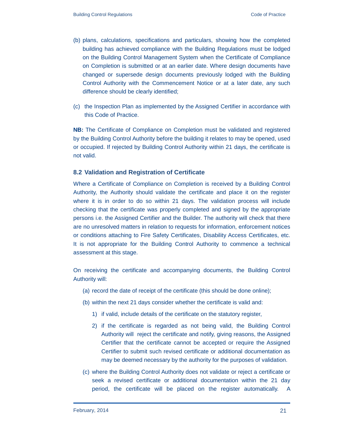- (b) plans, calculations, specifications and particulars, showing how the completed building has achieved compliance with the Building Regulations must be lodged on the Building Control Management System when the Certificate of Compliance on Completion is submitted or at an earlier date. Where design documents have changed or supersede design documents previously lodged with the Building Control Authority with the Commencement Notice or at a later date, any such difference should be clearly identified;
- (c) the Inspection Plan as implemented by the Assigned Certifier in accordance with this Code of Practice.

**NB:** The Certificate of Compliance on Completion must be validated and registered by the Building Control Authority before the building it relates to may be opened, used or occupied. If rejected by Building Control Authority within 21 days, the certificate is not valid.

#### **8.2 Validation and Registration of Certificate**

Where a Certificate of Compliance on Completion is received by a Building Control Authority, the Authority should validate the certificate and place it on the register where it is in order to do so within 21 days. The validation process will include checking that the certificate was properly completed and signed by the appropriate persons i.e. the Assigned Certifier and the Builder. The authority will check that there are no unresolved matters in relation to requests for information, enforcement notices or conditions attaching to Fire Safety Certificates, Disability Access Certificates, etc. It is not appropriate for the Building Control Authority to commence a technical assessment at this stage.

On receiving the certificate and accompanying documents, the Building Control Authority will:

- (a) record the date of receipt of the certificate (this should be done online);
- (b) within the next 21 days consider whether the certificate is valid and:
	- 1) if valid, include details of the certificate on the statutory register,
	- 2) if the certificate is regarded as not being valid, the Building Control Authority will reject the certificate and notify, giving reasons, the Assigned Certifier that the certificate cannot be accepted or require the Assigned Certifier to submit such revised certificate or additional documentation as may be deemed necessary by the authority for the purposes of validation.
- (c) where the Building Control Authority does not validate or reject a certificate or seek a revised certificate or additional documentation within the 21 day period, the certificate will be placed on the register automatically. A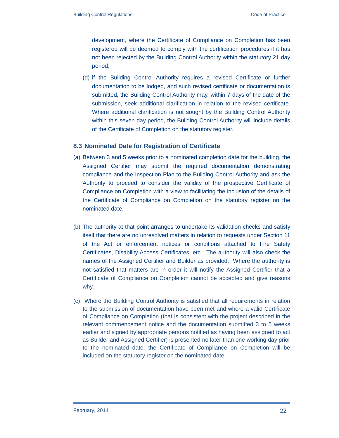development, where the Certificate of Compliance on Completion has been registered will be deemed to comply with the certification procedures if it has not been rejected by the Building Control Authority within the statutory 21 day period;

(d) if the Building Control Authority requires a revised Certificate or further documentation to be lodged, and such revised certificate or documentation is submitted, the Building Control Authority may, within 7 days of the date of the submission, seek additional clarification in relation to the revised certificate. Where additional clarification is not sought by the Building Control Authority within this seven day period, the Building Control Authority will include details of the Certificate of Completion on the statutory register.

#### **8.3 Nominated Date for Registration of Certificate**

- (a) Between 3 and 5 weeks prior to a nominated completion date for the building, the Assigned Certifier may submit the required documentation demonstrating compliance and the Inspection Plan to the Building Control Authority and ask the Authority to proceed to consider the validity of the prospective Certificate of Compliance on Completion with a view to facilitating the inclusion of the details of the Certificate of Compliance on Completion on the statutory register on the nominated date.
- (b) The authority at that point arranges to undertake its validation checks and satisfy itself that there are no unresolved matters in relation to requests under Section 11 of the Act or enforcement notices or conditions attached to Fire Safety Certificates, Disability Access Certificates, etc. The authority will also check the names of the Assigned Certifier and Builder as provided. Where the authority is not satisfied that matters are in order it will notify the Assigned Certifier that a Certificate of Compliance on Completion cannot be accepted and give reasons why.
- (c) Where the Building Control Authority is satisfied that all requirements in relation to the submission of documentation have been met and where a valid Certificate of Compliance on Completion (that is consistent with the project described in the relevant commencement notice and the documentation submitted 3 to 5 weeks earlier and signed by appropriate persons notified as having been assigned to act as Builder and Assigned Certifier) is presented no later than one working day prior to the nominated date, the Certificate of Compliance on Completion will be included on the statutory register on the nominated date.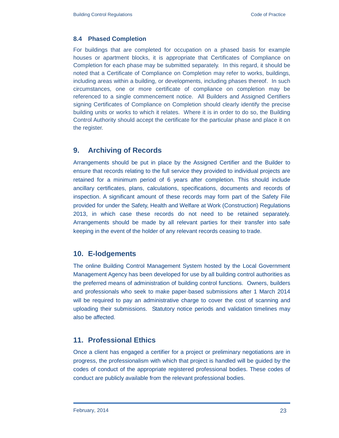#### **8.4 Phased Completion**

For buildings that are completed for occupation on a phased basis for example houses or apartment blocks, it is appropriate that Certificates of Compliance on Completion for each phase may be submitted separately. In this regard, it should be noted that a Certificate of Compliance on Completion may refer to works, buildings, including areas within a building, or developments, including phases thereof. In such circumstances, one or more certificate of compliance on completion may be referenced to a single commencement notice. All Builders and Assigned Certifiers signing Certificates of Compliance on Completion should clearly identify the precise building units or works to which it relates. Where it is in order to do so, the Building Control Authority should accept the certificate for the particular phase and place it on the register.

## **9. Archiving of Records**

Arrangements should be put in place by the Assigned Certifier and the Builder to ensure that records relating to the full service they provided to individual projects are retained for a minimum period of 6 years after completion. This should include ancillary certificates, plans, calculations, specifications, documents and records of inspection. A significant amount of these records may form part of the Safety File provided for under the Safety, Health and Welfare at Work (Construction) Regulations 2013, in which case these records do not need to be retained separately. Arrangements should be made by all relevant parties for their transfer into safe keeping in the event of the holder of any relevant records ceasing to trade.

#### **10. E-lodgements**

The online Building Control Management System hosted by the Local Government Management Agency has been developed for use by all building control authorities as the preferred means of administration of building control functions. Owners, builders and professionals who seek to make paper-based submissions after 1 March 2014 will be required to pay an administrative charge to cover the cost of scanning and uploading their submissions. Statutory notice periods and validation timelines may also be affected.

## **11. Professional Ethics**

Once a client has engaged a certifier for a project or preliminary negotiations are in progress, the professionalism with which that project is handled will be guided by the codes of conduct of the appropriate registered professional bodies. These codes of conduct are publicly available from the relevant professional bodies.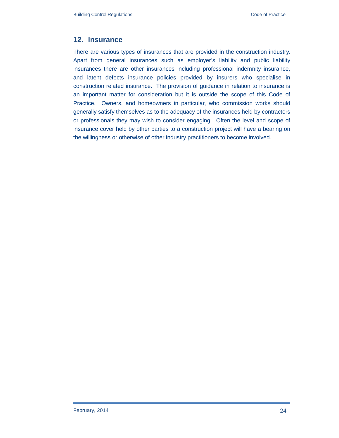## **12. Insurance**

There are various types of insurances that are provided in the construction industry. Apart from general insurances such as employer's liability and public liability insurances there are other insurances including professional indemnity insurance, and latent defects insurance policies provided by insurers who specialise in construction related insurance. The provision of guidance in relation to insurance is an important matter for consideration but it is outside the scope of this Code of Practice. Owners, and homeowners in particular, who commission works should generally satisfy themselves as to the adequacy of the insurances held by contractors or professionals they may wish to consider engaging. Often the level and scope of insurance cover held by other parties to a construction project will have a bearing on the willingness or otherwise of other industry practitioners to become involved.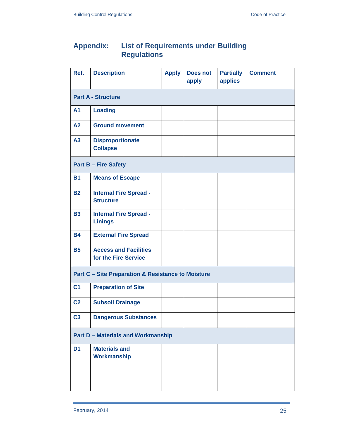## **Appendix: List of Requirements under Building Regulations**

| Ref.                                                          | <b>Description</b>                                   | <b>Apply</b> | <b>Does not</b><br>apply | <b>Partially</b><br>applies | <b>Comment</b> |  |  |
|---------------------------------------------------------------|------------------------------------------------------|--------------|--------------------------|-----------------------------|----------------|--|--|
| <b>Part A - Structure</b>                                     |                                                      |              |                          |                             |                |  |  |
| <b>A1</b>                                                     | <b>Loading</b>                                       |              |                          |                             |                |  |  |
| A2                                                            | <b>Ground movement</b>                               |              |                          |                             |                |  |  |
| A3                                                            | <b>Disproportionate</b><br><b>Collapse</b>           |              |                          |                             |                |  |  |
| <b>Part B - Fire Safety</b>                                   |                                                      |              |                          |                             |                |  |  |
| <b>B1</b>                                                     | <b>Means of Escape</b>                               |              |                          |                             |                |  |  |
| <b>B2</b>                                                     | <b>Internal Fire Spread -</b><br><b>Structure</b>    |              |                          |                             |                |  |  |
| <b>B3</b>                                                     | <b>Internal Fire Spread -</b><br><b>Linings</b>      |              |                          |                             |                |  |  |
| <b>B4</b>                                                     | <b>External Fire Spread</b>                          |              |                          |                             |                |  |  |
| <b>B5</b>                                                     | <b>Access and Facilities</b><br>for the Fire Service |              |                          |                             |                |  |  |
| <b>Part C - Site Preparation &amp; Resistance to Moisture</b> |                                                      |              |                          |                             |                |  |  |
| C <sub>1</sub>                                                | <b>Preparation of Site</b>                           |              |                          |                             |                |  |  |
| C <sub>2</sub>                                                | <b>Subsoil Drainage</b>                              |              |                          |                             |                |  |  |
| C <sub>3</sub>                                                | <b>Dangerous Substances</b>                          |              |                          |                             |                |  |  |
| <b>Part D - Materials and Workmanship</b>                     |                                                      |              |                          |                             |                |  |  |
| D <sub>1</sub>                                                | <b>Materials and</b><br><b>Workmanship</b>           |              |                          |                             |                |  |  |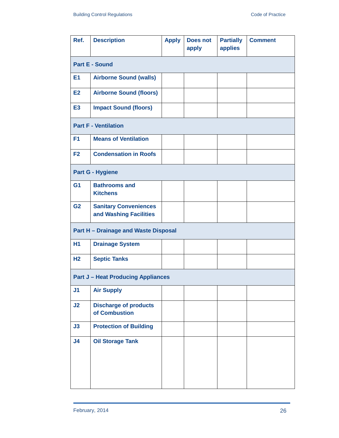| Ref.                                      | <b>Description</b>                                     | <b>Apply</b> | <b>Does not</b><br>apply | <b>Partially</b><br>applies | <b>Comment</b> |  |  |
|-------------------------------------------|--------------------------------------------------------|--------------|--------------------------|-----------------------------|----------------|--|--|
| <b>Part E - Sound</b>                     |                                                        |              |                          |                             |                |  |  |
| E1                                        | <b>Airborne Sound (walls)</b>                          |              |                          |                             |                |  |  |
| E <sub>2</sub>                            | <b>Airborne Sound (floors)</b>                         |              |                          |                             |                |  |  |
| E <sub>3</sub>                            | <b>Impact Sound (floors)</b>                           |              |                          |                             |                |  |  |
| <b>Part F - Ventilation</b>               |                                                        |              |                          |                             |                |  |  |
| F <sub>1</sub>                            | <b>Means of Ventilation</b>                            |              |                          |                             |                |  |  |
| F <sub>2</sub>                            | <b>Condensation in Roofs</b>                           |              |                          |                             |                |  |  |
|                                           | <b>Part G - Hygiene</b>                                |              |                          |                             |                |  |  |
| G <sub>1</sub>                            | <b>Bathrooms and</b><br><b>Kitchens</b>                |              |                          |                             |                |  |  |
| G <sub>2</sub>                            | <b>Sanitary Conveniences</b><br>and Washing Facilities |              |                          |                             |                |  |  |
|                                           | <b>Part H - Drainage and Waste Disposal</b>            |              |                          |                             |                |  |  |
| <b>H1</b>                                 | <b>Drainage System</b>                                 |              |                          |                             |                |  |  |
| H <sub>2</sub>                            | <b>Septic Tanks</b>                                    |              |                          |                             |                |  |  |
| <b>Part J - Heat Producing Appliances</b> |                                                        |              |                          |                             |                |  |  |
| J <sub>1</sub>                            | <b>Air Supply</b>                                      |              |                          |                             |                |  |  |
| J2                                        | <b>Discharge of products</b><br>of Combustion          |              |                          |                             |                |  |  |
| J3                                        | <b>Protection of Building</b>                          |              |                          |                             |                |  |  |
| J <sub>4</sub>                            | <b>Oil Storage Tank</b>                                |              |                          |                             |                |  |  |